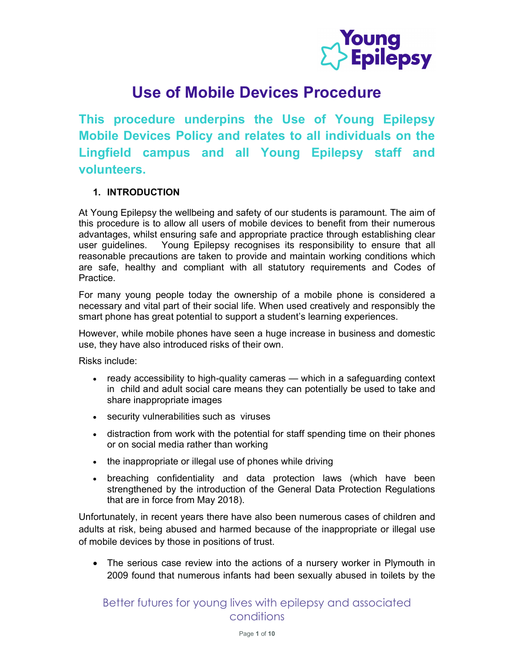

# Use of Mobile Devices Procedure

This procedure underpins the Use of Young Epilepsy Mobile Devices Policy and relates to all individuals on the Lingfield campus and all Young Epilepsy staff and volunteers.

#### 1. INTRODUCTION

At Young Epilepsy the wellbeing and safety of our students is paramount. The aim of this procedure is to allow all users of mobile devices to benefit from their numerous advantages, whilst ensuring safe and appropriate practice through establishing clear user guidelines. Young Epilepsy recognises its responsibility to ensure that all reasonable precautions are taken to provide and maintain working conditions which are safe, healthy and compliant with all statutory requirements and Codes of Practice.

For many young people today the ownership of a mobile phone is considered a necessary and vital part of their social life. When used creatively and responsibly the smart phone has great potential to support a student's learning experiences.

However, while mobile phones have seen a huge increase in business and domestic use, they have also introduced risks of their own.

Risks include:

- ready accessibility to high-quality cameras which in a safeguarding context in child and adult social care means they can potentially be used to take and share inappropriate images
- security vulnerabilities such as viruses
- distraction from work with the potential for staff spending time on their phones or on social media rather than working
- the inappropriate or illegal use of phones while driving
- breaching confidentiality and data protection laws (which have been strengthened by the introduction of the General Data Protection Regulations that are in force from May 2018).

Unfortunately, in recent years there have also been numerous cases of children and adults at risk, being abused and harmed because of the inappropriate or illegal use of mobile devices by those in positions of trust.

 The serious case review into the actions of a nursery worker in Plymouth in 2009 found that numerous infants had been sexually abused in toilets by the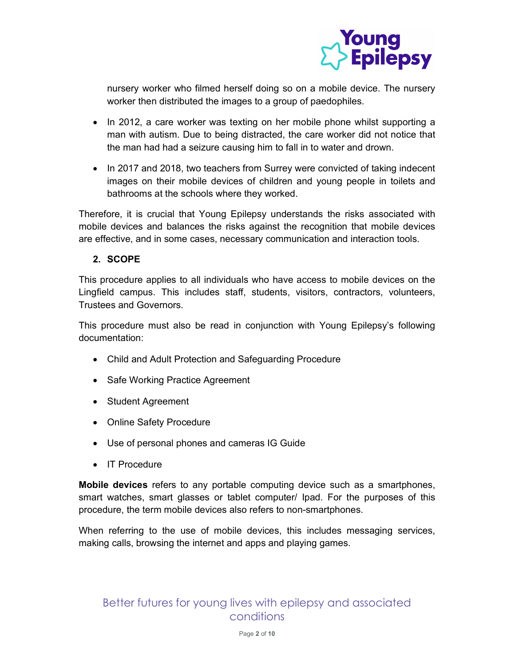

nursery worker who filmed herself doing so on a mobile device. The nursery worker then distributed the images to a group of paedophiles.

- In 2012, a care worker was texting on her mobile phone whilst supporting a man with autism. Due to being distracted, the care worker did not notice that the man had had a seizure causing him to fall in to water and drown.
- In 2017 and 2018, two teachers from Surrey were convicted of taking indecent images on their mobile devices of children and young people in toilets and bathrooms at the schools where they worked.

Therefore, it is crucial that Young Epilepsy understands the risks associated with mobile devices and balances the risks against the recognition that mobile devices are effective, and in some cases, necessary communication and interaction tools.

#### 2. SCOPE

This procedure applies to all individuals who have access to mobile devices on the Lingfield campus. This includes staff, students, visitors, contractors, volunteers, Trustees and Governors.

This procedure must also be read in conjunction with Young Epilepsy's following documentation:

- Child and Adult Protection and Safeguarding Procedure
- Safe Working Practice Agreement
- Student Agreement
- Online Safety Procedure
- Use of personal phones and cameras IG Guide
- IT Procedure

Mobile devices refers to any portable computing device such as a smartphones, smart watches, smart glasses or tablet computer/ Ipad. For the purposes of this procedure, the term mobile devices also refers to non-smartphones.

When referring to the use of mobile devices, this includes messaging services, making calls, browsing the internet and apps and playing games.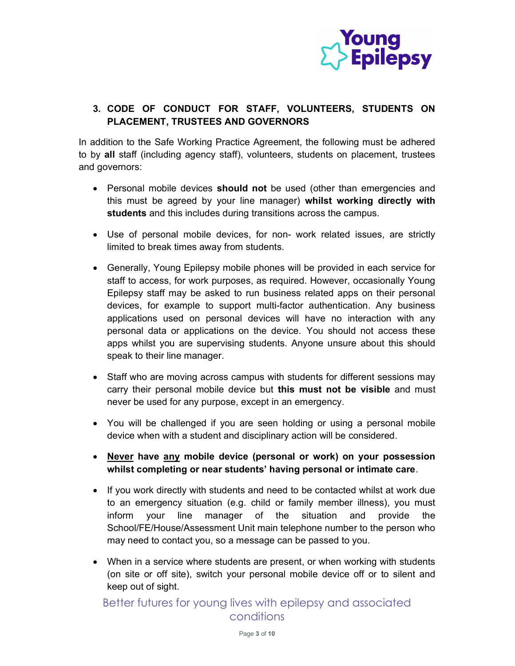

### 3. CODE OF CONDUCT FOR STAFF, VOLUNTEERS, STUDENTS ON PLACEMENT, TRUSTEES AND GOVERNORS

In addition to the Safe Working Practice Agreement, the following must be adhered to by all staff (including agency staff), volunteers, students on placement, trustees and governors:

- Personal mobile devices **should not** be used (other than emergencies and this must be agreed by your line manager) whilst working directly with students and this includes during transitions across the campus.
- Use of personal mobile devices, for non- work related issues, are strictly limited to break times away from students.
- Generally, Young Epilepsy mobile phones will be provided in each service for staff to access, for work purposes, as required. However, occasionally Young Epilepsy staff may be asked to run business related apps on their personal devices, for example to support multi-factor authentication. Any business applications used on personal devices will have no interaction with any personal data or applications on the device. You should not access these apps whilst you are supervising students. Anyone unsure about this should speak to their line manager.
- Staff who are moving across campus with students for different sessions may carry their personal mobile device but this must not be visible and must never be used for any purpose, except in an emergency.
- You will be challenged if you are seen holding or using a personal mobile device when with a student and disciplinary action will be considered.
- Never have any mobile device (personal or work) on your possession whilst completing or near students' having personal or intimate care.
- If you work directly with students and need to be contacted whilst at work due to an emergency situation (e.g. child or family member illness), you must inform your line manager of the situation and provide the School/FE/House/Assessment Unit main telephone number to the person who may need to contact you, so a message can be passed to you.
- When in a service where students are present, or when working with students (on site or off site), switch your personal mobile device off or to silent and keep out of sight.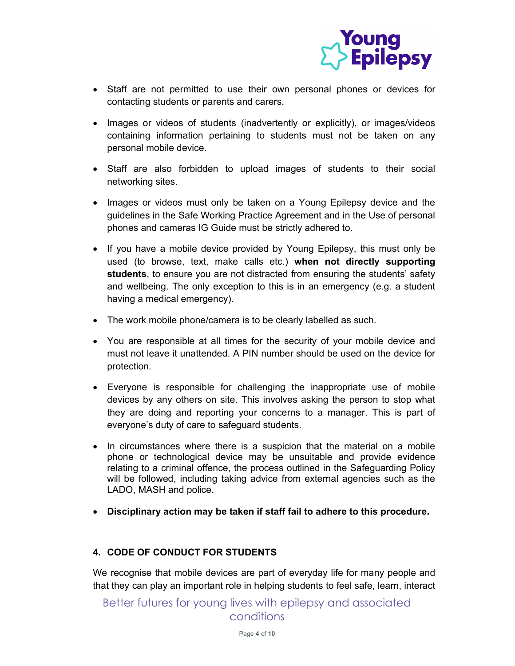

- Staff are not permitted to use their own personal phones or devices for contacting students or parents and carers.
- Images or videos of students (inadvertently or explicitly), or images/videos containing information pertaining to students must not be taken on any personal mobile device.
- Staff are also forbidden to upload images of students to their social networking sites.
- Images or videos must only be taken on a Young Epilepsy device and the guidelines in the Safe Working Practice Agreement and in the Use of personal phones and cameras IG Guide must be strictly adhered to.
- If you have a mobile device provided by Young Epilepsy, this must only be used (to browse, text, make calls etc.) when not directly supporting students, to ensure you are not distracted from ensuring the students' safety and wellbeing. The only exception to this is in an emergency (e.g. a student having a medical emergency).
- The work mobile phone/camera is to be clearly labelled as such.
- You are responsible at all times for the security of your mobile device and must not leave it unattended. A PIN number should be used on the device for protection.
- Everyone is responsible for challenging the inappropriate use of mobile devices by any others on site. This involves asking the person to stop what they are doing and reporting your concerns to a manager. This is part of everyone's duty of care to safeguard students.
- In circumstances where there is a suspicion that the material on a mobile phone or technological device may be unsuitable and provide evidence relating to a criminal offence, the process outlined in the Safeguarding Policy will be followed, including taking advice from external agencies such as the LADO, MASH and police.
- Disciplinary action may be taken if staff fail to adhere to this procedure.

#### 4. CODE OF CONDUCT FOR STUDENTS

We recognise that mobile devices are part of everyday life for many people and that they can play an important role in helping students to feel safe, learn, interact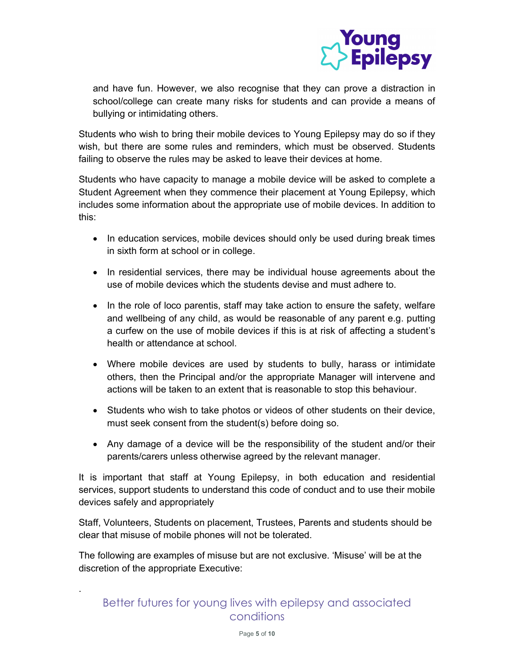

and have fun. However, we also recognise that they can prove a distraction in school/college can create many risks for students and can provide a means of bullying or intimidating others.

Students who wish to bring their mobile devices to Young Epilepsy may do so if they wish, but there are some rules and reminders, which must be observed. Students failing to observe the rules may be asked to leave their devices at home.

Students who have capacity to manage a mobile device will be asked to complete a Student Agreement when they commence their placement at Young Epilepsy, which includes some information about the appropriate use of mobile devices. In addition to this:

- In education services, mobile devices should only be used during break times in sixth form at school or in college.
- In residential services, there may be individual house agreements about the use of mobile devices which the students devise and must adhere to.
- In the role of loco parentis, staff may take action to ensure the safety, welfare and wellbeing of any child, as would be reasonable of any parent e.g. putting a curfew on the use of mobile devices if this is at risk of affecting a student's health or attendance at school.
- Where mobile devices are used by students to bully, harass or intimidate others, then the Principal and/or the appropriate Manager will intervene and actions will be taken to an extent that is reasonable to stop this behaviour.
- Students who wish to take photos or videos of other students on their device, must seek consent from the student(s) before doing so.
- Any damage of a device will be the responsibility of the student and/or their parents/carers unless otherwise agreed by the relevant manager.

It is important that staff at Young Epilepsy, in both education and residential services, support students to understand this code of conduct and to use their mobile devices safely and appropriately

Staff, Volunteers, Students on placement, Trustees, Parents and students should be clear that misuse of mobile phones will not be tolerated.

The following are examples of misuse but are not exclusive. 'Misuse' will be at the discretion of the appropriate Executive:

.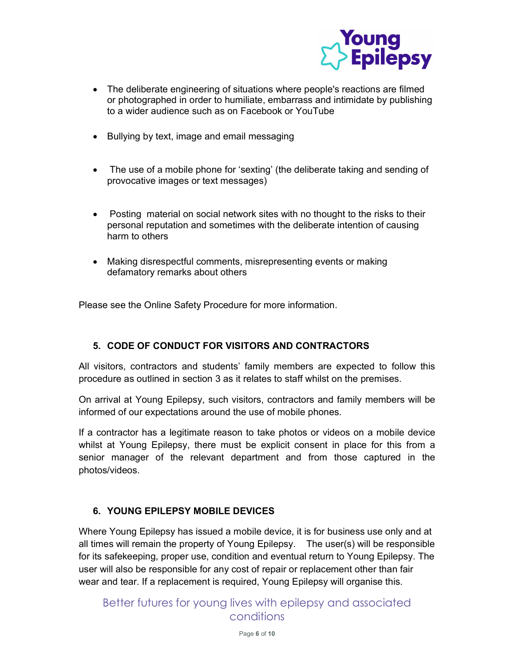

- The deliberate engineering of situations where people's reactions are filmed or photographed in order to humiliate, embarrass and intimidate by publishing to a wider audience such as on Facebook or YouTube
- Bullying by text, image and email messaging
- The use of a mobile phone for 'sexting' (the deliberate taking and sending of provocative images or text messages)
- Posting material on social network sites with no thought to the risks to their personal reputation and sometimes with the deliberate intention of causing harm to others
- Making disrespectful comments, misrepresenting events or making defamatory remarks about others

Please see the Online Safety Procedure for more information.

#### 5. CODE OF CONDUCT FOR VISITORS AND CONTRACTORS

All visitors, contractors and students' family members are expected to follow this procedure as outlined in section 3 as it relates to staff whilst on the premises.

On arrival at Young Epilepsy, such visitors, contractors and family members will be informed of our expectations around the use of mobile phones.

If a contractor has a legitimate reason to take photos or videos on a mobile device whilst at Young Epilepsy, there must be explicit consent in place for this from a senior manager of the relevant department and from those captured in the photos/videos.

#### 6. YOUNG EPILEPSY MOBILE DEVICES

Where Young Epilepsy has issued a mobile device, it is for business use only and at all times will remain the property of Young Epilepsy. The user(s) will be responsible for its safekeeping, proper use, condition and eventual return to Young Epilepsy. The user will also be responsible for any cost of repair or replacement other than fair wear and tear. If a replacement is required, Young Epilepsy will organise this.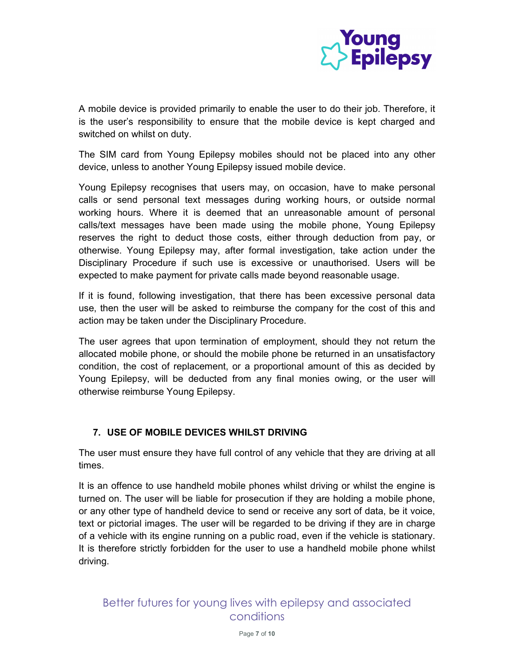

A mobile device is provided primarily to enable the user to do their job. Therefore, it is the user's responsibility to ensure that the mobile device is kept charged and switched on whilst on duty.

The SIM card from Young Epilepsy mobiles should not be placed into any other device, unless to another Young Epilepsy issued mobile device.

Young Epilepsy recognises that users may, on occasion, have to make personal calls or send personal text messages during working hours, or outside normal working hours. Where it is deemed that an unreasonable amount of personal calls/text messages have been made using the mobile phone, Young Epilepsy reserves the right to deduct those costs, either through deduction from pay, or otherwise. Young Epilepsy may, after formal investigation, take action under the Disciplinary Procedure if such use is excessive or unauthorised. Users will be expected to make payment for private calls made beyond reasonable usage.

If it is found, following investigation, that there has been excessive personal data use, then the user will be asked to reimburse the company for the cost of this and action may be taken under the Disciplinary Procedure.

The user agrees that upon termination of employment, should they not return the allocated mobile phone, or should the mobile phone be returned in an unsatisfactory condition, the cost of replacement, or a proportional amount of this as decided by Young Epilepsy, will be deducted from any final monies owing, or the user will otherwise reimburse Young Epilepsy.

### 7. USE OF MOBILE DEVICES WHILST DRIVING

The user must ensure they have full control of any vehicle that they are driving at all times.

It is an offence to use handheld mobile phones whilst driving or whilst the engine is turned on. The user will be liable for prosecution if they are holding a mobile phone, or any other type of handheld device to send or receive any sort of data, be it voice, text or pictorial images. The user will be regarded to be driving if they are in charge of a vehicle with its engine running on a public road, even if the vehicle is stationary. It is therefore strictly forbidden for the user to use a handheld mobile phone whilst driving.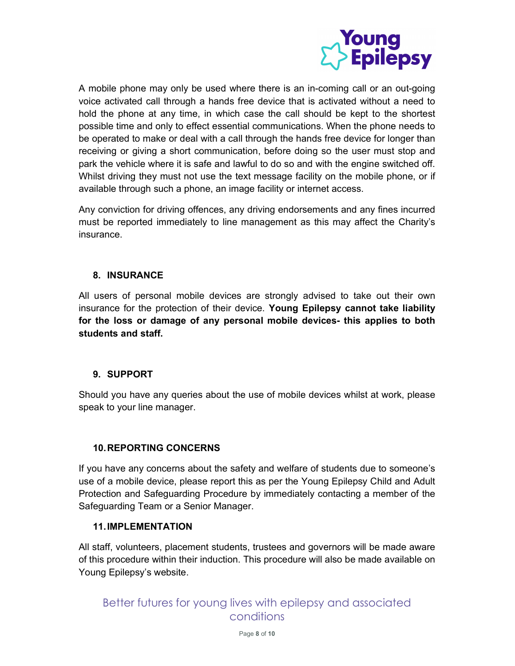

A mobile phone may only be used where there is an in-coming call or an out-going voice activated call through a hands free device that is activated without a need to hold the phone at any time, in which case the call should be kept to the shortest possible time and only to effect essential communications. When the phone needs to be operated to make or deal with a call through the hands free device for longer than receiving or giving a short communication, before doing so the user must stop and park the vehicle where it is safe and lawful to do so and with the engine switched off. Whilst driving they must not use the text message facility on the mobile phone, or if available through such a phone, an image facility or internet access.

Any conviction for driving offences, any driving endorsements and any fines incurred must be reported immediately to line management as this may affect the Charity's insurance.

#### 8. INSURANCE

All users of personal mobile devices are strongly advised to take out their own insurance for the protection of their device. Young Epilepsy cannot take liability for the loss or damage of any personal mobile devices- this applies to both students and staff.

#### 9. SUPPORT

Should you have any queries about the use of mobile devices whilst at work, please speak to your line manager.

#### 10. REPORTING CONCERNS

If you have any concerns about the safety and welfare of students due to someone's use of a mobile device, please report this as per the Young Epilepsy Child and Adult Protection and Safeguarding Procedure by immediately contacting a member of the Safeguarding Team or a Senior Manager.

#### 11. IMPLEMENTATION

All staff, volunteers, placement students, trustees and governors will be made aware of this procedure within their induction. This procedure will also be made available on Young Epilepsy's website.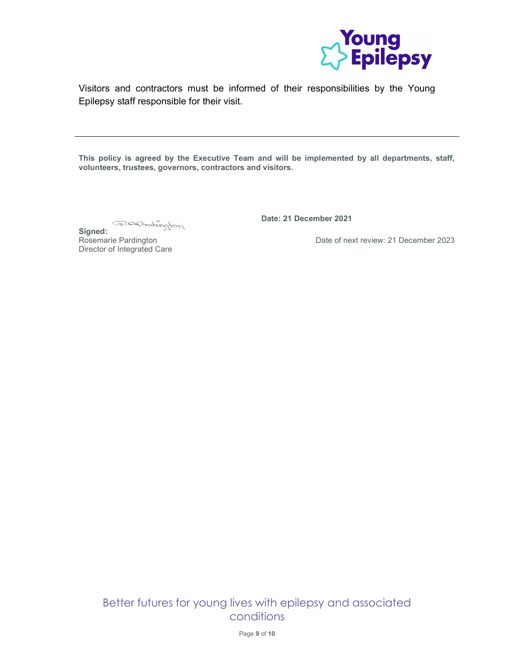

Visitors and contractors must be informed of their responsibilities by the Young Epilepsy staff responsible for their visit.

This policy is agreed by the Executive Team and will be implemented by all departments, staff, volunteers, trustees, governors, contractors and visitors.

GEARENDON

Signed: Rosemarie Pardington Director of Integrated Care

Ξ

Date: 21 December 2021

Date of next review: 21 December 2023